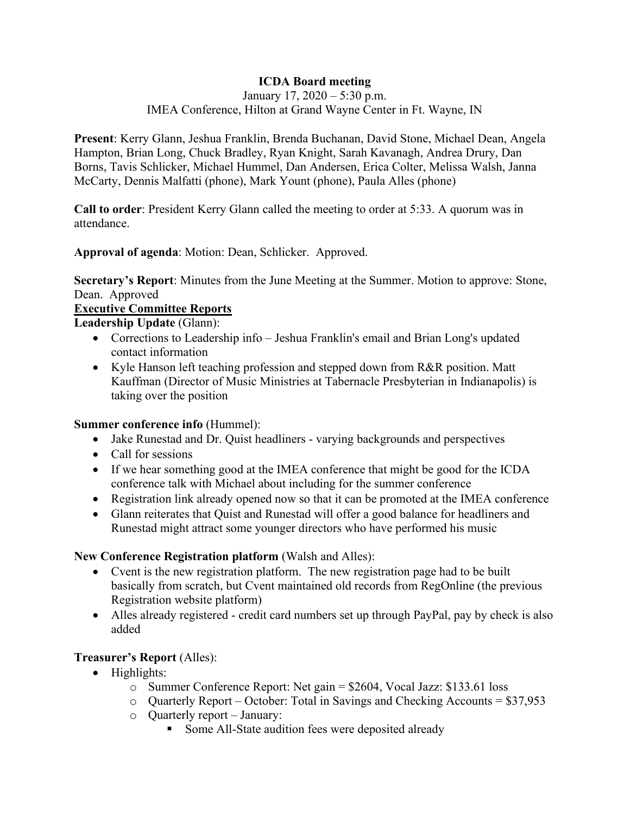# **ICDA Board meeting**

January 17, 2020 – 5:30 p.m. IMEA Conference, Hilton at Grand Wayne Center in Ft. Wayne, IN

**Present**: Kerry Glann, Jeshua Franklin, Brenda Buchanan, David Stone, Michael Dean, Angela Hampton, Brian Long, Chuck Bradley, Ryan Knight, Sarah Kavanagh, Andrea Drury, Dan Borns, Tavis Schlicker, Michael Hummel, Dan Andersen, Erica Colter, Melissa Walsh, Janna McCarty, Dennis Malfatti (phone), Mark Yount (phone), Paula Alles (phone)

**Call to order**: President Kerry Glann called the meeting to order at 5:33. A quorum was in attendance.

**Approval of agenda**: Motion: Dean, Schlicker. Approved.

**Secretary's Report**: Minutes from the June Meeting at the Summer. Motion to approve: Stone, Dean. Approved

## **Executive Committee Reports**

**Leadership Update** (Glann):

- Corrections to Leadership info Jeshua Franklin's email and Brian Long's updated contact information
- Kyle Hanson left teaching profession and stepped down from R&R position. Matt Kauffman (Director of Music Ministries at Tabernacle Presbyterian in Indianapolis) is taking over the position

## **Summer conference info** (Hummel):

- Jake Runestad and Dr. Quist headliners varying backgrounds and perspectives
- Call for sessions
- If we hear something good at the IMEA conference that might be good for the ICDA conference talk with Michael about including for the summer conference
- Registration link already opened now so that it can be promoted at the IMEA conference
- Glann reiterates that Quist and Runestad will offer a good balance for headliners and Runestad might attract some younger directors who have performed his music

## **New Conference Registration platform** (Walsh and Alles):

- Cvent is the new registration platform. The new registration page had to be built basically from scratch, but Cvent maintained old records from RegOnline (the previous Registration website platform)
- Alles already registered credit card numbers set up through PayPal, pay by check is also added

# **Treasurer's Report** (Alles):

- Highlights:
	- o Summer Conference Report: Net gain = \$2604, Vocal Jazz: \$133.61 loss
	- o Quarterly Report October: Total in Savings and Checking Accounts = \$37,953
	- o Quarterly report January:
		- Some All-State audition fees were deposited already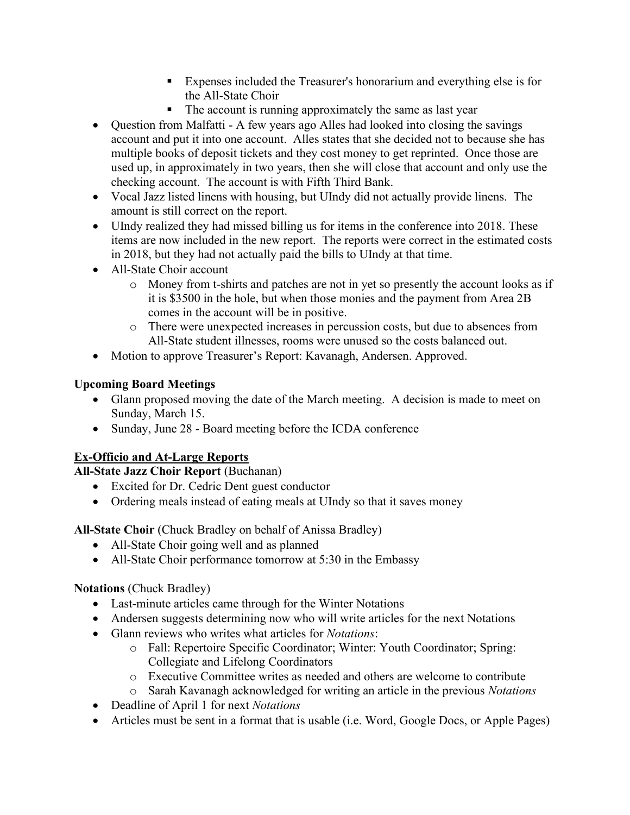- Expenses included the Treasurer's honorarium and everything else is for the All-State Choir
- The account is running approximately the same as last year
- Question from Malfatti A few years ago Alles had looked into closing the savings account and put it into one account. Alles states that she decided not to because she has multiple books of deposit tickets and they cost money to get reprinted. Once those are used up, in approximately in two years, then she will close that account and only use the checking account. The account is with Fifth Third Bank.
- Vocal Jazz listed linens with housing, but UIndy did not actually provide linens. The amount is still correct on the report.
- UIndy realized they had missed billing us for items in the conference into 2018. These items are now included in the new report. The reports were correct in the estimated costs in 2018, but they had not actually paid the bills to UIndy at that time.
- All-State Choir account
	- o Money from t-shirts and patches are not in yet so presently the account looks as if it is \$3500 in the hole, but when those monies and the payment from Area 2B comes in the account will be in positive.
	- o There were unexpected increases in percussion costs, but due to absences from All-State student illnesses, rooms were unused so the costs balanced out.
- Motion to approve Treasurer's Report: Kavanagh, Andersen. Approved.

# **Upcoming Board Meetings**

- Glann proposed moving the date of the March meeting. A decision is made to meet on Sunday, March 15.
- Sunday, June 28 Board meeting before the ICDA conference

# **Ex-Officio and At-Large Reports**

**All-State Jazz Choir Report** (Buchanan)

- Excited for Dr. Cedric Dent guest conductor
- Ordering meals instead of eating meals at UIndy so that it saves money

# **All-State Choir** (Chuck Bradley on behalf of Anissa Bradley)

- All-State Choir going well and as planned
- All-State Choir performance tomorrow at 5:30 in the Embassy

# **Notations** (Chuck Bradley)

- Last-minute articles came through for the Winter Notations
- Andersen suggests determining now who will write articles for the next Notations
- Glann reviews who writes what articles for *Notations*:
	- o Fall: Repertoire Specific Coordinator; Winter: Youth Coordinator; Spring: Collegiate and Lifelong Coordinators
	- o Executive Committee writes as needed and others are welcome to contribute
	- o Sarah Kavanagh acknowledged for writing an article in the previous *Notations*
- Deadline of April 1 for next *Notations*
- Articles must be sent in a format that is usable (i.e. Word, Google Docs, or Apple Pages)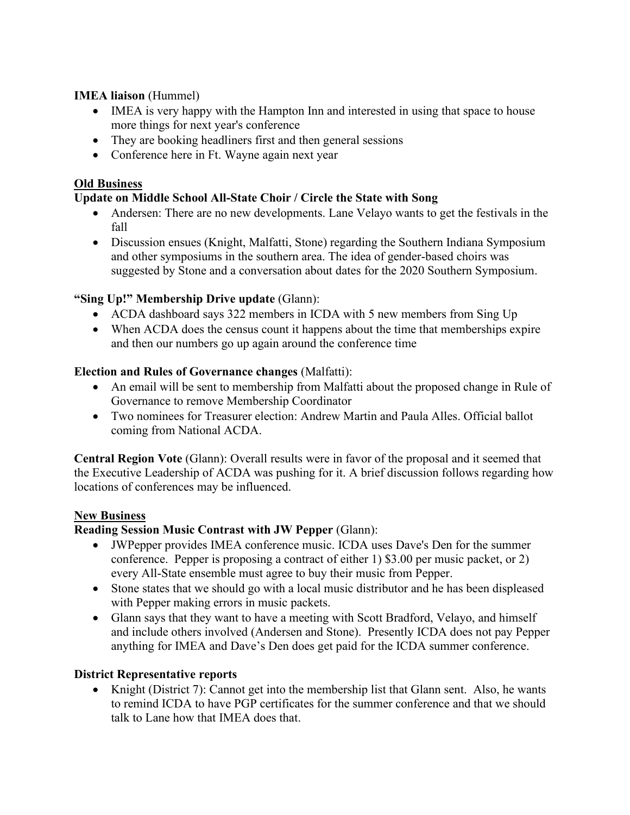### **IMEA liaison** (Hummel)

- IMEA is very happy with the Hampton Inn and interested in using that space to house more things for next year's conference
- They are booking headliners first and then general sessions
- Conference here in Ft. Wayne again next year

#### **Old Business**

### **Update on Middle School All-State Choir / Circle the State with Song**

- Andersen: There are no new developments. Lane Velayo wants to get the festivals in the fall
- Discussion ensues (Knight, Malfatti, Stone) regarding the Southern Indiana Symposium and other symposiums in the southern area. The idea of gender-based choirs was suggested by Stone and a conversation about dates for the 2020 Southern Symposium.

### **"Sing Up!" Membership Drive update** (Glann):

- ACDA dashboard says 322 members in ICDA with 5 new members from Sing Up
- When ACDA does the census count it happens about the time that memberships expire and then our numbers go up again around the conference time

### **Election and Rules of Governance changes** (Malfatti):

- An email will be sent to membership from Malfatti about the proposed change in Rule of Governance to remove Membership Coordinator
- Two nominees for Treasurer election: Andrew Martin and Paula Alles. Official ballot coming from National ACDA.

**Central Region Vote** (Glann): Overall results were in favor of the proposal and it seemed that the Executive Leadership of ACDA was pushing for it. A brief discussion follows regarding how locations of conferences may be influenced.

#### **New Business**

## **Reading Session Music Contrast with JW Pepper** (Glann):

- JWPepper provides IMEA conference music. ICDA uses Dave's Den for the summer conference. Pepper is proposing a contract of either 1) \$3.00 per music packet, or 2) every All-State ensemble must agree to buy their music from Pepper.
- Stone states that we should go with a local music distributor and he has been displeased with Pepper making errors in music packets.
- Glann says that they want to have a meeting with Scott Bradford, Velayo, and himself and include others involved (Andersen and Stone). Presently ICDA does not pay Pepper anything for IMEA and Dave's Den does get paid for the ICDA summer conference.

#### **District Representative reports**

• Knight (District 7): Cannot get into the membership list that Glann sent. Also, he wants to remind ICDA to have PGP certificates for the summer conference and that we should talk to Lane how that IMEA does that.